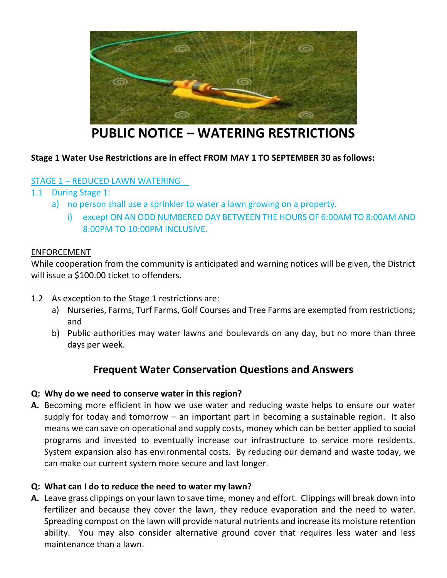

# **PUBLIC NOTICE – WATERING RESTRICTIONS**

# **Stage 1 Water Use Restrictions are in effect FROM MAY 1 TO SEPTEMBER 30 as follows:**

# STAGE 1 – REDUCED LAWN WATERING

# 1.1 During Stage 1:

- a) no person shall use a sprinkler to water a lawn growing on a property.
	- i) except ON AN ODD NUMBERED DAY BETWEEN THE HOURS OF 6:00AM TO 8:00AM AND 8:00PM TO 10:00PM INCLUSIVE.

#### ENFORCEMENT

While cooperation from the community is anticipated and warning notices will be given, the District will issue a \$100.00 ticket to offenders.

- 1.2 As exception to the Stage 1 restrictions are:
	- a) Nurseries, Farms, Turf Farms, Golf Courses and Tree Farms are exempted from restrictions; and
	- b) Public authorities may water lawns and boulevards on any day, but no more than three days per week.

# **Frequent Water Conservation Questions and Answers**

#### **Q: Why do we need to conserve water in this region?**

**A.** Becoming more efficient in how we use water and reducing waste helps to ensure our water supply for today and tomorrow – an important part in becoming a sustainable region. It also means we can save on operational and supply costs, money which can be better applied to social programs and invested to eventually increase our infrastructure to service more residents. System expansion also has environmental costs. By reducing our demand and waste today, we can make our current system more secure and last longer.

#### **Q: What can I do to reduce the need to water my lawn?**

**A.** Leave grass clippings on your lawn to save time, money and effort. Clippings will break down into fertilizer and because they cover the lawn, they reduce evaporation and the need to water. Spreading compost on the lawn will provide natural nutrients and increase its moisture retention ability. You may also consider alternative ground cover that requires less water and less maintenance than a lawn.